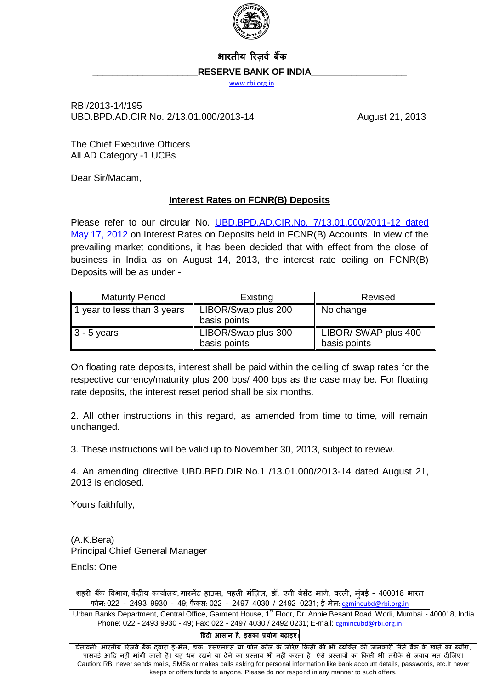

## **भारतीय ररज़र्व बैंक**

### RESERVE BANK OF INDIA

[www.rbi.org.in](http://www.rbi.org.in/)

RBI/2013-14/195 UBD.BPD.AD.CIR.No. 2/13.01.000/2013-14 August 21, 2013

The Chief Executive Officers All AD Category -1 UCBs

Dear Sir/Madam,

### **Interest Rates on FCNR(B) Deposits**

Please refer to our circular No. UBD.BPD.AD.CIR.No. [7/13.01.000/2011-12 dated](http://www.rbi.org.in/scripts/NotificationUser.aspx?Id=7219&Mode=0)  [May 17, 2012](http://www.rbi.org.in/scripts/NotificationUser.aspx?Id=7219&Mode=0) on Interest Rates on Deposits held in FCNR(B) Accounts. In view of the prevailing market conditions, it has been decided that with effect from the close of business in India as on August 14, 2013, the interest rate ceiling on FCNR(B) Deposits will be as under -

| <b>Maturity Period</b>      | Existing                            | Revised                              |
|-----------------------------|-------------------------------------|--------------------------------------|
| 1 year to less than 3 years | LIBOR/Swap plus 200<br>basis points | No change                            |
| $3 - 5$ years               | LIBOR/Swap plus 300<br>basis points | LIBOR/ SWAP plus 400<br>basis points |

On floating rate deposits, interest shall be paid within the ceiling of swap rates for the respective currency/maturity plus 200 bps/ 400 bps as the case may be. For floating rate deposits, the interest reset period shall be six months.

2. All other instructions in this regard, as amended from time to time, will remain unchanged.

3. These instructions will be valid up to November 30, 2013, subject to review.

4. An amending directive [UBD.BPD.DIR.No.1 /13.01.000/2013-14 dated August 21,](http://www.rbi.org.in/scripts/NotificationUser.aspx?Id=8310&Mode=0#A) [2013](http://www.rbi.org.in/scripts/NotificationUser.aspx?Id=8310&Mode=0#A) is enclosed.

Yours faithfully,

(A.K.Bera) Principal Chief General Manager

Encls: One

शहरी बैंक विभाग, केंद्रीय कार्यालय, गारमेंट हाऊस, पहली मंज़िल, डॉ. एनी बेसेंट मार्ग, वरली, मुंबई - 400018 भारत फोन: 022 - 2493 9930 - 49; फैक्स: 022 - 2497 4030 / 2492 0231; ई-मेल: camincubd@rbi.org.in

Urban Banks Department, Central Office, Garment House, 1<sup>st</sup> Floor, Dr. Annie Besant Road, Worli, Mumbai - 400018, India Phone: 022 - 2493 9930 - 49; Fax: 022 - 2497 4030 / 2492 0231; E-mail: [cgmincubd@rbi.org.in](mailto:cgmincubd@rbi.org.in)

#### **ह िंदी आसान ै**, **इसका प्रयोग बढ़ाइए**—

चेतावनी: भारतीय रिज़र्व बैंक दवारा ई-मेल, डाक, एसएमएस या फोन कॉल के जरिए किसी की भी व्यक्ति की जानकारी जैसे बैंक के खाते का ब्यौरा, पासवर्ड आदि नहीं मांगी जाती है। यह धन रखने या देने का प्रस्ताव भी नहीं करता है। ऐसे प्रस्तावों का किसी भी तरीके से जवाब मत दीजिए। Caution: RBI never sends mails, SMSs or makes calls asking for personal information like bank account details, passwords, etc.It never keeps or offers funds to anyone. Please do not respond in any manner to such offers.